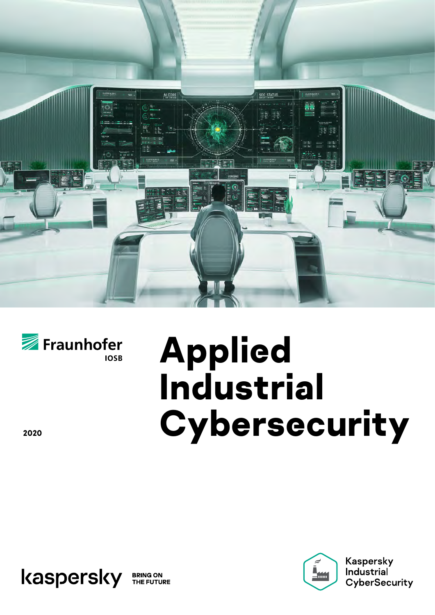



# **Applied Industrial <sup>2020</sup> Cybersecurity**





**Kaspersky** Industrial CyberSecurity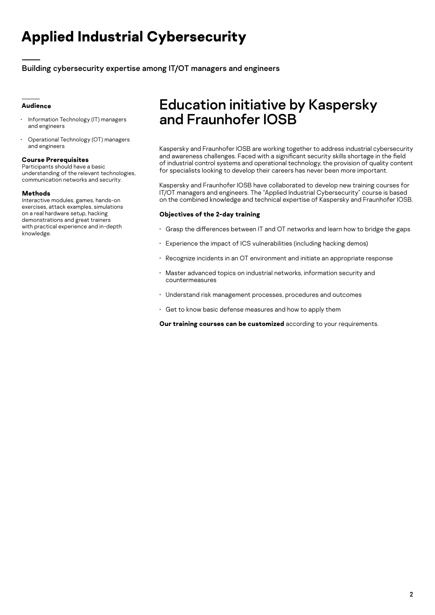## **Applied Industrial Cybersecurity**

Building cybersecurity expertise among IT/OT managers and engineers

### **Audience**

- Information Technology (IT) managers and engineers
- Operational Technology (OT) managers and engineers

#### **Course Prerequisites**

Participants should have a basic understanding of the relevant technologies, communication networks and security.

#### **Methods**

Interactive modules, games, hands-on exercises, attack examples, simulations on a real hardware setup, hacking demonstrations and great trainers with practical experience and in-depth knowledge.

## Education initiative by Kaspersky and Fraunhofer IOSB

Kaspersky and Fraunhofer IOSB are working together to address industrial cybersecurity and awareness challenges. Faced with a significant security skills shortage in the field of industrial control systems and operational technology, the provision of quality content for specialists looking to develop their careers has never been more important.

Kaspersky and Fraunhofer IOSB have collaborated to develop new training courses for IT/OT managers and engineers. The "Applied Industrial Cybersecurity" course is based on the combined knowledge and technical expertise of Kaspersky and Fraunhofer IOSB.

#### **Objectives of the 2-day training**

- Grasp the differences between IT and OT networks and learn how to bridge the gaps
- Experience the impact of ICS vulnerabilities (including hacking demos)
- Recognize incidents in an OT environment and initiate an appropriate response
- Master advanced topics on industrial networks, information security and countermeasures
- Understand risk management processes, procedures and outcomes
- Get to know basic defense measures and how to apply them

**Our training courses can be customized** according to your requirements.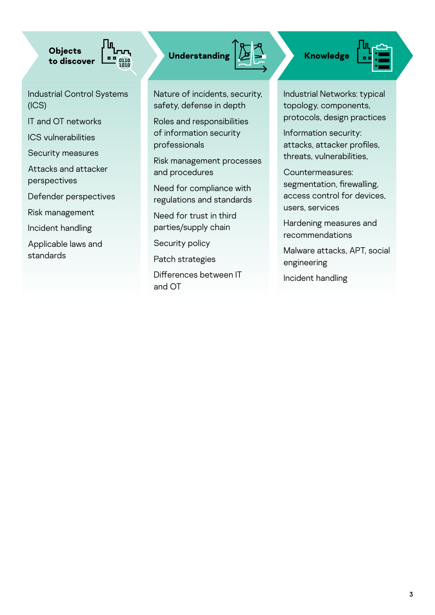**Objects to** discover **Understanding A Knowledge** 

Industrial Control Systems (ICS)

IT and OT networks

ICS vulnerabilities

Security measures

Attacks and attacker perspectives

Defender perspectives

Risk management

Incident handling

Applicable laws and standards



Nature of incidents, security, safety, defense in depth

Roles and responsibilities of information security professionals

Risk management processes and procedures

Need for compliance with regulations and standards

Need for trust in third parties/supply chain

Security policy

Patch strategies

Differences between IT and OT

Industrial Networks: typical topology, components, protocols, design practices

Information security: attacks, attacker profiles, threats, vulnerabilities,

Countermeasures: segmentation, firewalling, access control for devices, users, services

Hardening measures and recommendations

Malware attacks, APT, social engineering

Incident handling